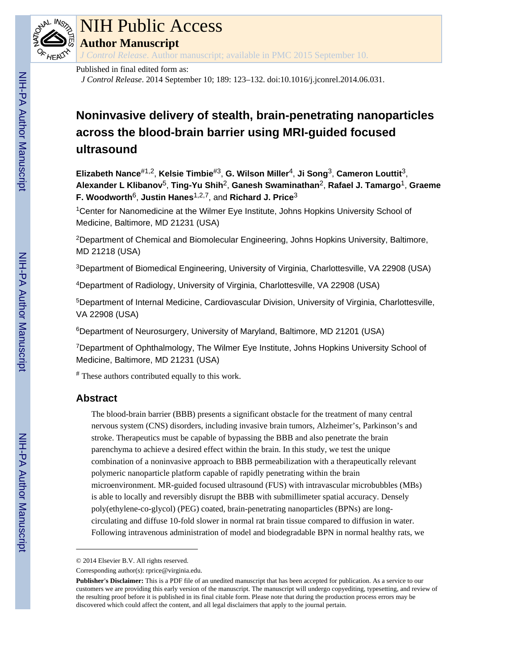

# NIH Public Access

**Author Manuscript**

*J Control Release*. Author manuscript; available in PMC 2015 September 10.

## Published in final edited form as:

*J Control Release*. 2014 September 10; 189: 123–132. doi:10.1016/j.jconrel.2014.06.031.

## **Noninvasive delivery of stealth, brain-penetrating nanoparticles across the blood-brain barrier using MRI-guided focused ultrasound**

**Elizabeth Nance**#1,2, **Kelsie Timbie**#3, **G. Wilson Miller**4, **Ji Song**3, **Cameron Louttit**3, **Alexander L Klibanov**5, **Ting-Yu Shih**2, **Ganesh Swaminathan**2, **Rafael J. Tamargo**1, **Graeme F. Woodworth**6, **Justin Hanes**1,2,7, and **Richard J. Price**<sup>3</sup>

<sup>1</sup>Center for Nanomedicine at the Wilmer Eye Institute, Johns Hopkins University School of Medicine, Baltimore, MD 21231 (USA)

<sup>2</sup>Department of Chemical and Biomolecular Engineering, Johns Hopkins University, Baltimore, MD 21218 (USA)

<sup>3</sup>Department of Biomedical Engineering, University of Virginia, Charlottesville, VA 22908 (USA)

<sup>4</sup>Department of Radiology, University of Virginia, Charlottesville, VA 22908 (USA)

<sup>5</sup>Department of Internal Medicine, Cardiovascular Division, University of Virginia, Charlottesville, VA 22908 (USA)

<sup>6</sup>Department of Neurosurgery, University of Maryland, Baltimore, MD 21201 (USA)

<sup>7</sup>Department of Ophthalmology, The Wilmer Eye Institute, Johns Hopkins University School of Medicine, Baltimore, MD 21231 (USA)

# These authors contributed equally to this work.

## **Abstract**

The blood-brain barrier (BBB) presents a significant obstacle for the treatment of many central nervous system (CNS) disorders, including invasive brain tumors, Alzheimer's, Parkinson's and stroke. Therapeutics must be capable of bypassing the BBB and also penetrate the brain parenchyma to achieve a desired effect within the brain. In this study, we test the unique combination of a noninvasive approach to BBB permeabilization with a therapeutically relevant polymeric nanoparticle platform capable of rapidly penetrating within the brain microenvironment. MR-guided focused ultrasound (FUS) with intravascular microbubbles (MBs) is able to locally and reversibly disrupt the BBB with submillimeter spatial accuracy. Densely poly(ethylene-co-glycol) (PEG) coated, brain-penetrating nanoparticles (BPNs) are longcirculating and diffuse 10-fold slower in normal rat brain tissue compared to diffusion in water. Following intravenous administration of model and biodegradable BPN in normal healthy rats, we

<sup>© 2014</sup> Elsevier B.V. All rights reserved.

Corresponding author(s): rprice@virginia.edu.

**Publisher's Disclaimer:** This is a PDF file of an unedited manuscript that has been accepted for publication. As a service to our customers we are providing this early version of the manuscript. The manuscript will undergo copyediting, typesetting, and review of the resulting proof before it is published in its final citable form. Please note that during the production process errors may be discovered which could affect the content, and all legal disclaimers that apply to the journal pertain.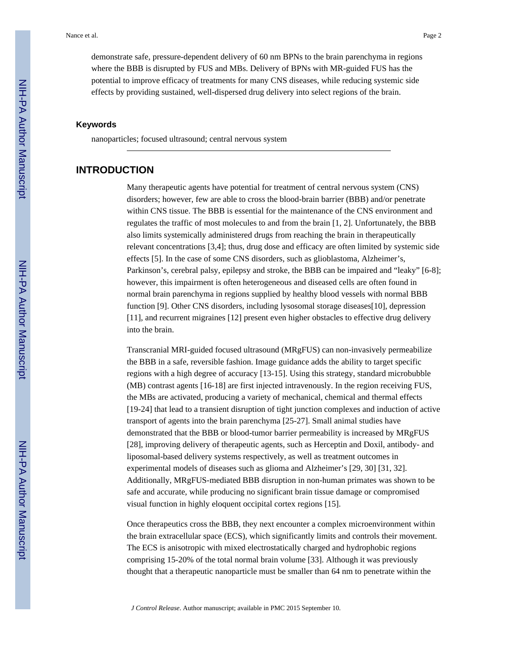demonstrate safe, pressure-dependent delivery of 60 nm BPNs to the brain parenchyma in regions where the BBB is disrupted by FUS and MBs. Delivery of BPNs with MR-guided FUS has the potential to improve efficacy of treatments for many CNS diseases, while reducing systemic side effects by providing sustained, well-dispersed drug delivery into select regions of the brain.

## **Keywords**

nanoparticles; focused ultrasound; central nervous system

## **INTRODUCTION**

Many therapeutic agents have potential for treatment of central nervous system (CNS) disorders; however, few are able to cross the blood-brain barrier (BBB) and/or penetrate within CNS tissue. The BBB is essential for the maintenance of the CNS environment and regulates the traffic of most molecules to and from the brain [1, 2]. Unfortunately, the BBB also limits systemically administered drugs from reaching the brain in therapeutically relevant concentrations [3,4]; thus, drug dose and efficacy are often limited by systemic side effects [5]. In the case of some CNS disorders, such as glioblastoma, Alzheimer's, Parkinson's, cerebral palsy, epilepsy and stroke, the BBB can be impaired and "leaky" [6-8]; however, this impairment is often heterogeneous and diseased cells are often found in normal brain parenchyma in regions supplied by healthy blood vessels with normal BBB function [9]. Other CNS disorders, including lysosomal storage diseases[10], depression [11], and recurrent migraines [12] present even higher obstacles to effective drug delivery into the brain.

Transcranial MRI-guided focused ultrasound (MRgFUS) can non-invasively permeabilize the BBB in a safe, reversible fashion. Image guidance adds the ability to target specific regions with a high degree of accuracy [13-15]. Using this strategy, standard microbubble (MB) contrast agents [16-18] are first injected intravenously. In the region receiving FUS, the MBs are activated, producing a variety of mechanical, chemical and thermal effects [19-24] that lead to a transient disruption of tight junction complexes and induction of active transport of agents into the brain parenchyma [25-27]. Small animal studies have demonstrated that the BBB or blood-tumor barrier permeability is increased by MRgFUS [28], improving delivery of therapeutic agents, such as Herceptin and Doxil, antibody- and liposomal-based delivery systems respectively, as well as treatment outcomes in experimental models of diseases such as glioma and Alzheimer's [29, 30] [31, 32]. Additionally, MRgFUS-mediated BBB disruption in non-human primates was shown to be safe and accurate, while producing no significant brain tissue damage or compromised visual function in highly eloquent occipital cortex regions [15].

Once therapeutics cross the BBB, they next encounter a complex microenvironment within the brain extracellular space (ECS), which significantly limits and controls their movement. The ECS is anisotropic with mixed electrostatically charged and hydrophobic regions comprising 15-20% of the total normal brain volume [33]. Although it was previously thought that a therapeutic nanoparticle must be smaller than 64 nm to penetrate within the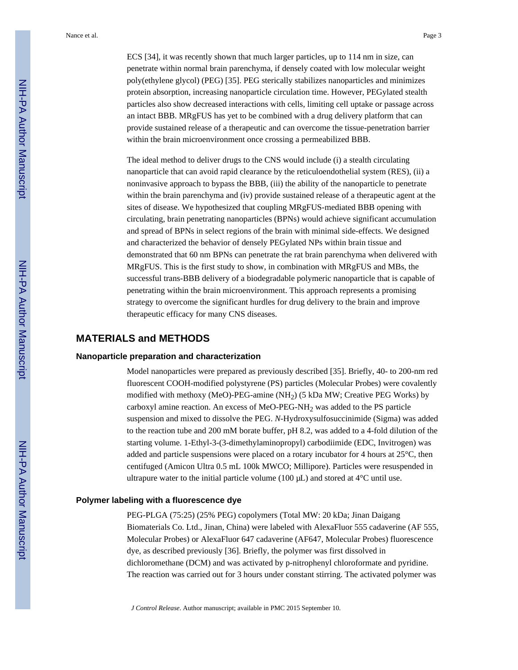ECS [34], it was recently shown that much larger particles, up to 114 nm in size, can penetrate within normal brain parenchyma, if densely coated with low molecular weight poly(ethylene glycol) (PEG) [35]. PEG sterically stabilizes nanoparticles and minimizes protein absorption, increasing nanoparticle circulation time. However, PEGylated stealth particles also show decreased interactions with cells, limiting cell uptake or passage across an intact BBB. MRgFUS has yet to be combined with a drug delivery platform that can provide sustained release of a therapeutic and can overcome the tissue-penetration barrier within the brain microenvironment once crossing a permeabilized BBB.

The ideal method to deliver drugs to the CNS would include (i) a stealth circulating nanoparticle that can avoid rapid clearance by the reticuloendothelial system (RES), (ii) a noninvasive approach to bypass the BBB, (iii) the ability of the nanoparticle to penetrate within the brain parenchyma and (iv) provide sustained release of a therapeutic agent at the sites of disease. We hypothesized that coupling MRgFUS-mediated BBB opening with circulating, brain penetrating nanoparticles (BPNs) would achieve significant accumulation and spread of BPNs in select regions of the brain with minimal side-effects. We designed and characterized the behavior of densely PEGylated NPs within brain tissue and demonstrated that 60 nm BPNs can penetrate the rat brain parenchyma when delivered with MRgFUS. This is the first study to show, in combination with MRgFUS and MBs, the successful trans-BBB delivery of a biodegradable polymeric nanoparticle that is capable of penetrating within the brain microenvironment. This approach represents a promising strategy to overcome the significant hurdles for drug delivery to the brain and improve therapeutic efficacy for many CNS diseases.

## **MATERIALS and METHODS**

## **Nanoparticle preparation and characterization**

Model nanoparticles were prepared as previously described [35]. Briefly, 40- to 200-nm red fluorescent COOH-modified polystyrene (PS) particles (Molecular Probes) were covalently modified with methoxy (MeO)-PEG-amine (NH<sub>2</sub>) (5 kDa MW; Creative PEG Works) by carboxyl amine reaction. An excess of MeO-PEG-NH<sub>2</sub> was added to the PS particle suspension and mixed to dissolve the PEG. *N*-Hydroxysulfosuccinimide (Sigma) was added to the reaction tube and 200 mM borate buffer, pH 8.2, was added to a 4-fold dilution of the starting volume. 1-Ethyl-3-(3-dimethylaminopropyl) carbodiimide (EDC, Invitrogen) was added and particle suspensions were placed on a rotary incubator for 4 hours at 25°C, then centifuged (Amicon Ultra 0.5 mL 100k MWCO; Millipore). Particles were resuspended in ultrapure water to the initial particle volume (100  $\mu$ L) and stored at 4<sup>o</sup>C until use.

### **Polymer labeling with a fluorescence dye**

PEG-PLGA (75:25) (25% PEG) copolymers (Total MW: 20 kDa; Jinan Daigang Biomaterials Co. Ltd., Jinan, China) were labeled with AlexaFluor 555 cadaverine (AF 555, Molecular Probes) or AlexaFluor 647 cadaverine (AF647, Molecular Probes) fluorescence dye, as described previously [36]. Briefly, the polymer was first dissolved in dichloromethane (DCM) and was activated by p-nitrophenyl chloroformate and pyridine. The reaction was carried out for 3 hours under constant stirring. The activated polymer was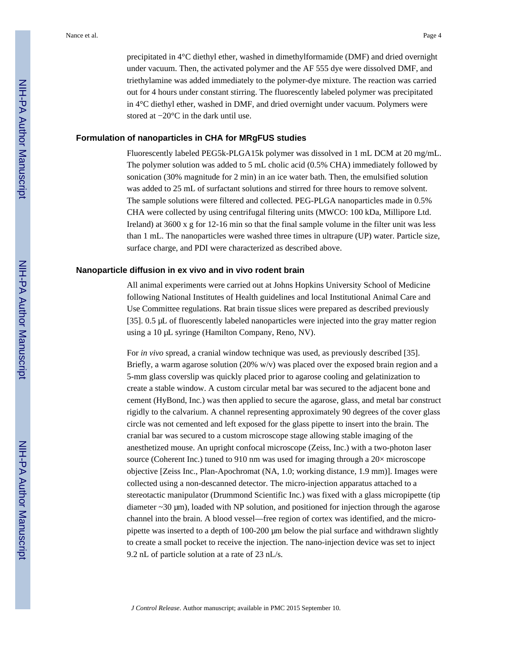precipitated in 4°C diethyl ether, washed in dimethylformamide (DMF) and dried overnight under vacuum. Then, the activated polymer and the AF 555 dye were dissolved DMF, and triethylamine was added immediately to the polymer-dye mixture. The reaction was carried out for 4 hours under constant stirring. The fluorescently labeled polymer was precipitated in 4°C diethyl ether, washed in DMF, and dried overnight under vacuum. Polymers were stored at −20°C in the dark until use.

#### **Formulation of nanoparticles in CHA for MRgFUS studies**

Fluorescently labeled PEG5k-PLGA15k polymer was dissolved in 1 mL DCM at 20 mg/mL. The polymer solution was added to 5 mL cholic acid (0.5% CHA) immediately followed by sonication (30% magnitude for 2 min) in an ice water bath. Then, the emulsified solution was added to 25 mL of surfactant solutions and stirred for three hours to remove solvent. The sample solutions were filtered and collected. PEG-PLGA nanoparticles made in 0.5% CHA were collected by using centrifugal filtering units (MWCO: 100 kDa, Millipore Ltd. Ireland) at  $3600 \times g$  for  $12{\text -}16$  min so that the final sample volume in the filter unit was less than 1 mL. The nanoparticles were washed three times in ultrapure (UP) water. Particle size, surface charge, and PDI were characterized as described above.

#### **Nanoparticle diffusion in ex vivo and in vivo rodent brain**

All animal experiments were carried out at Johns Hopkins University School of Medicine following National Institutes of Health guidelines and local Institutional Animal Care and Use Committee regulations. Rat brain tissue slices were prepared as described previously [35]. 0.5 μL of fluorescently labeled nanoparticles were injected into the gray matter region using a 10 μL syringe (Hamilton Company, Reno, NV).

For *in vivo* spread, a cranial window technique was used, as previously described [35]. Briefly, a warm agarose solution  $(20\%$  w/v) was placed over the exposed brain region and a 5-mm glass coverslip was quickly placed prior to agarose cooling and gelatinization to create a stable window. A custom circular metal bar was secured to the adjacent bone and cement (HyBond, Inc.) was then applied to secure the agarose, glass, and metal bar construct rigidly to the calvarium. A channel representing approximately 90 degrees of the cover glass circle was not cemented and left exposed for the glass pipette to insert into the brain. The cranial bar was secured to a custom microscope stage allowing stable imaging of the anesthetized mouse. An upright confocal microscope (Zeiss, Inc.) with a two-photon laser source (Coherent Inc.) tuned to 910 nm was used for imaging through a  $20\times$  microscope objective [Zeiss Inc., Plan-Apochromat (NA, 1.0; working distance, 1.9 mm)]. Images were collected using a non-descanned detector. The micro-injection apparatus attached to a stereotactic manipulator (Drummond Scientific Inc.) was fixed with a glass micropipette (tip diameter ~30 μm), loaded with NP solution, and positioned for injection through the agarose channel into the brain. A blood vessel—free region of cortex was identified, and the micropipette was inserted to a depth of 100-200 μm below the pial surface and withdrawn slightly to create a small pocket to receive the injection. The nano-injection device was set to inject 9.2 nL of particle solution at a rate of 23 nL/s.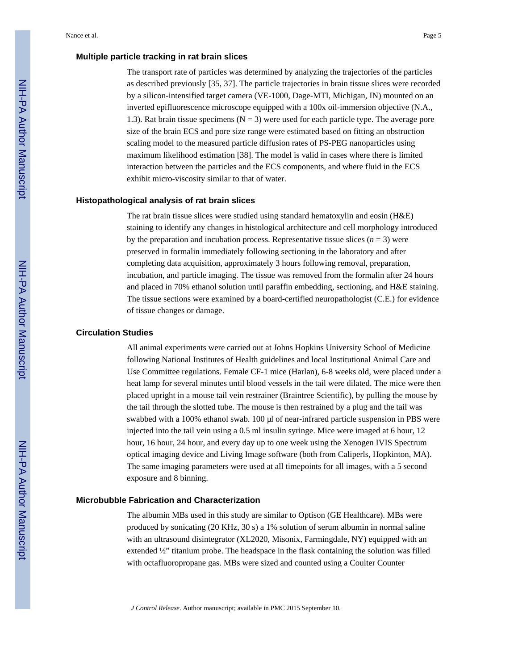## **Multiple particle tracking in rat brain slices**

The transport rate of particles was determined by analyzing the trajectories of the particles as described previously [35, 37]. The particle trajectories in brain tissue slices were recorded by a silicon-intensified target camera (VE-1000, Dage-MTI, Michigan, IN) mounted on an inverted epifluorescence microscope equipped with a 100x oil-immersion objective (N.A., 1.3). Rat brain tissue specimens  $(N = 3)$  were used for each particle type. The average pore size of the brain ECS and pore size range were estimated based on fitting an obstruction scaling model to the measured particle diffusion rates of PS-PEG nanoparticles using maximum likelihood estimation [38]. The model is valid in cases where there is limited interaction between the particles and the ECS components, and where fluid in the ECS exhibit micro-viscosity similar to that of water.

## **Histopathological analysis of rat brain slices**

The rat brain tissue slices were studied using standard hematoxylin and eosin (H&E) staining to identify any changes in histological architecture and cell morphology introduced by the preparation and incubation process. Representative tissue slices  $(n = 3)$  were preserved in formalin immediately following sectioning in the laboratory and after completing data acquisition, approximately 3 hours following removal, preparation, incubation, and particle imaging. The tissue was removed from the formalin after 24 hours and placed in 70% ethanol solution until paraffin embedding, sectioning, and H&E staining. The tissue sections were examined by a board-certified neuropathologist (C.E.) for evidence of tissue changes or damage.

#### **Circulation Studies**

All animal experiments were carried out at Johns Hopkins University School of Medicine following National Institutes of Health guidelines and local Institutional Animal Care and Use Committee regulations. Female CF-1 mice (Harlan), 6-8 weeks old, were placed under a heat lamp for several minutes until blood vessels in the tail were dilated. The mice were then placed upright in a mouse tail vein restrainer (Braintree Scientific), by pulling the mouse by the tail through the slotted tube. The mouse is then restrained by a plug and the tail was swabbed with a 100% ethanol swab. 100 μl of near-infrared particle suspension in PBS were injected into the tail vein using a 0.5 ml insulin syringe. Mice were imaged at 6 hour, 12 hour, 16 hour, 24 hour, and every day up to one week using the Xenogen IVIS Spectrum optical imaging device and Living Image software (both from Caliperls, Hopkinton, MA). The same imaging parameters were used at all timepoints for all images, with a 5 second exposure and 8 binning.

## **Microbubble Fabrication and Characterization**

The albumin MBs used in this study are similar to Optison (GE Healthcare). MBs were produced by sonicating (20 KHz, 30 s) a 1% solution of serum albumin in normal saline with an ultrasound disintegrator (XL2020, Misonix, Farmingdale, NY) equipped with an extended  $\frac{1}{2}$ " titanium probe. The headspace in the flask containing the solution was filled with octafluoropropane gas. MBs were sized and counted using a Coulter Counter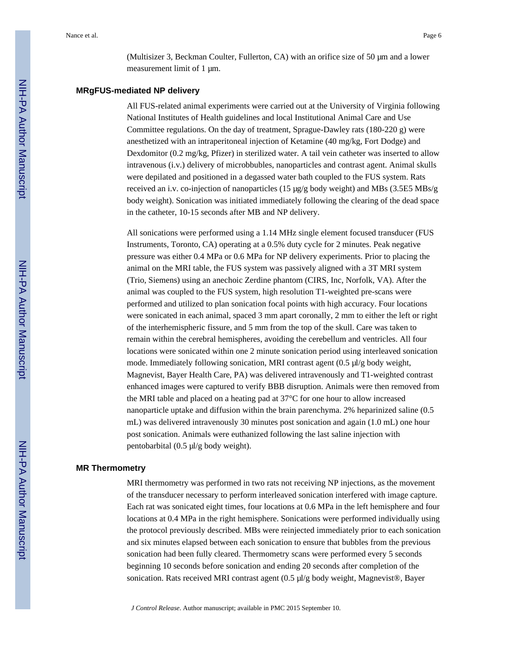(Multisizer 3, Beckman Coulter, Fullerton, CA) with an orifice size of 50 μm and a lower measurement limit of 1 μm.

#### **MRgFUS-mediated NP delivery**

All FUS-related animal experiments were carried out at the University of Virginia following National Institutes of Health guidelines and local Institutional Animal Care and Use Committee regulations. On the day of treatment, Sprague-Dawley rats  $(180-220 \text{ g})$  were anesthetized with an intraperitoneal injection of Ketamine (40 mg/kg, Fort Dodge) and Dexdomitor (0.2 mg/kg, Pfizer) in sterilized water. A tail vein catheter was inserted to allow intravenous (i.v.) delivery of microbbubles, nanoparticles and contrast agent. Animal skulls were depilated and positioned in a degassed water bath coupled to the FUS system. Rats received an i.v. co-injection of nanoparticles (15  $\mu$ g/g body weight) and MBs (3.5E5 MBs/g body weight). Sonication was initiated immediately following the clearing of the dead space in the catheter, 10-15 seconds after MB and NP delivery.

All sonications were performed using a 1.14 MHz single element focused transducer (FUS Instruments, Toronto, CA) operating at a 0.5% duty cycle for 2 minutes. Peak negative pressure was either 0.4 MPa or 0.6 MPa for NP delivery experiments. Prior to placing the animal on the MRI table, the FUS system was passively aligned with a 3T MRI system (Trio, Siemens) using an anechoic Zerdine phantom (CIRS, Inc, Norfolk, VA). After the animal was coupled to the FUS system, high resolution T1-weighted pre-scans were performed and utilized to plan sonication focal points with high accuracy. Four locations were sonicated in each animal, spaced 3 mm apart coronally, 2 mm to either the left or right of the interhemispheric fissure, and 5 mm from the top of the skull. Care was taken to remain within the cerebral hemispheres, avoiding the cerebellum and ventricles. All four locations were sonicated within one 2 minute sonication period using interleaved sonication mode. Immediately following sonication, MRI contrast agent (0.5 μl/g body weight, Magnevist, Bayer Health Care, PA) was delivered intravenously and T1-weighted contrast enhanced images were captured to verify BBB disruption. Animals were then removed from the MRI table and placed on a heating pad at 37°C for one hour to allow increased nanoparticle uptake and diffusion within the brain parenchyma. 2% heparinized saline (0.5 mL) was delivered intravenously 30 minutes post sonication and again (1.0 mL) one hour post sonication. Animals were euthanized following the last saline injection with pentobarbital (0.5 μl/g body weight).

## **MR Thermometry**

MRI thermometry was performed in two rats not receiving NP injections, as the movement of the transducer necessary to perform interleaved sonication interfered with image capture. Each rat was sonicated eight times, four locations at 0.6 MPa in the left hemisphere and four locations at 0.4 MPa in the right hemisphere. Sonications were performed individually using the protocol previously described. MBs were reinjected immediately prior to each sonication and six minutes elapsed between each sonication to ensure that bubbles from the previous sonication had been fully cleared. Thermometry scans were performed every 5 seconds beginning 10 seconds before sonication and ending 20 seconds after completion of the sonication. Rats received MRI contrast agent (0.5 μl/g body weight, Magnevist®, Bayer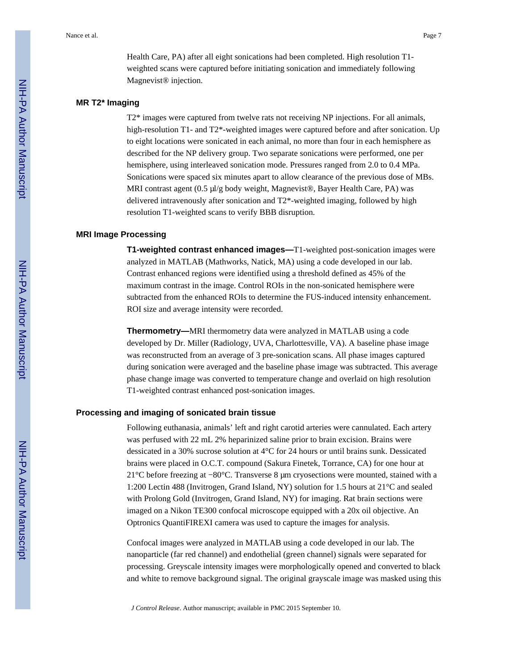Health Care, PA) after all eight sonications had been completed. High resolution T1 weighted scans were captured before initiating sonication and immediately following Magnevist® injection.

## **MR T2\* Imaging**

T2\* images were captured from twelve rats not receiving NP injections. For all animals, high-resolution T1- and T2\*-weighted images were captured before and after sonication. Up to eight locations were sonicated in each animal, no more than four in each hemisphere as described for the NP delivery group. Two separate sonications were performed, one per hemisphere, using interleaved sonication mode. Pressures ranged from 2.0 to 0.4 MPa. Sonications were spaced six minutes apart to allow clearance of the previous dose of MBs. MRI contrast agent (0.5 μl/g body weight, Magnevist®, Bayer Health Care, PA) was delivered intravenously after sonication and T2\*-weighted imaging, followed by high resolution T1-weighted scans to verify BBB disruption.

## **MRI Image Processing**

**T1-weighted contrast enhanced images—**T1-weighted post-sonication images were analyzed in MATLAB (Mathworks, Natick, MA) using a code developed in our lab. Contrast enhanced regions were identified using a threshold defined as 45% of the maximum contrast in the image. Control ROIs in the non-sonicated hemisphere were subtracted from the enhanced ROIs to determine the FUS-induced intensity enhancement. ROI size and average intensity were recorded.

**Thermometry—**MRI thermometry data were analyzed in MATLAB using a code developed by Dr. Miller (Radiology, UVA, Charlottesville, VA). A baseline phase image was reconstructed from an average of 3 pre-sonication scans. All phase images captured during sonication were averaged and the baseline phase image was subtracted. This average phase change image was converted to temperature change and overlaid on high resolution T1-weighted contrast enhanced post-sonication images.

#### **Processing and imaging of sonicated brain tissue**

Following euthanasia, animals' left and right carotid arteries were cannulated. Each artery was perfused with 22 mL 2% heparinized saline prior to brain excision. Brains were dessicated in a 30% sucrose solution at 4°C for 24 hours or until brains sunk. Dessicated brains were placed in O.C.T. compound (Sakura Finetek, Torrance, CA) for one hour at 21°C before freezing at −80°C. Transverse 8 µm cryosections were mounted, stained with a 1:200 Lectin 488 (Invitrogen, Grand Island, NY) solution for 1.5 hours at 21°C and sealed with Prolong Gold (Invitrogen, Grand Island, NY) for imaging. Rat brain sections were imaged on a Nikon TE300 confocal microscope equipped with a 20x oil objective. An Optronics QuantiFIREXI camera was used to capture the images for analysis.

Confocal images were analyzed in MATLAB using a code developed in our lab. The nanoparticle (far red channel) and endothelial (green channel) signals were separated for processing. Greyscale intensity images were morphologically opened and converted to black and white to remove background signal. The original grayscale image was masked using this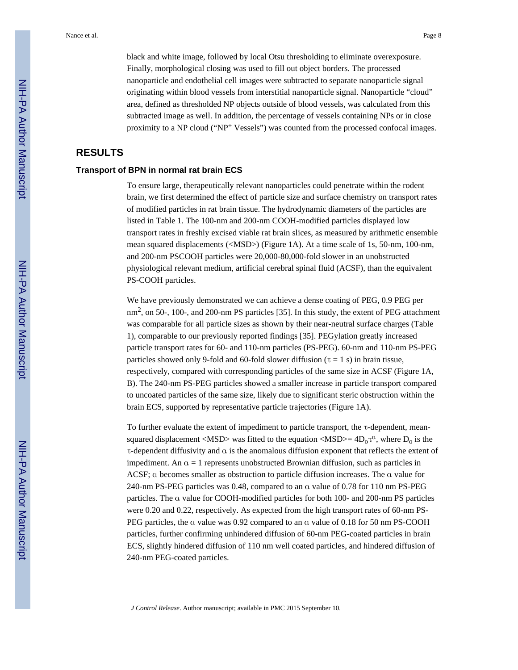black and white image, followed by local Otsu thresholding to eliminate overexposure. Finally, morphological closing was used to fill out object borders. The processed nanoparticle and endothelial cell images were subtracted to separate nanoparticle signal originating within blood vessels from interstitial nanoparticle signal. Nanoparticle "cloud" area, defined as thresholded NP objects outside of blood vessels, was calculated from this subtracted image as well. In addition, the percentage of vessels containing NPs or in close proximity to a NP cloud ("NP+ Vessels") was counted from the processed confocal images.

## **RESULTS**

## **Transport of BPN in normal rat brain ECS**

To ensure large, therapeutically relevant nanoparticles could penetrate within the rodent brain, we first determined the effect of particle size and surface chemistry on transport rates of modified particles in rat brain tissue. The hydrodynamic diameters of the particles are listed in Table 1. The 100-nm and 200-nm COOH-modified particles displayed low transport rates in freshly excised viable rat brain slices, as measured by arithmetic ensemble mean squared displacements (<MSD>) (Figure 1A). At a time scale of 1s, 50-nm, 100-nm, and 200-nm PSCOOH particles were 20,000-80,000-fold slower in an unobstructed physiological relevant medium, artificial cerebral spinal fluid (ACSF), than the equivalent PS-COOH particles.

We have previously demonstrated we can achieve a dense coating of PEG, 0.9 PEG per  $nm^2$ , on 50-, 100-, and 200-nm PS particles [35]. In this study, the extent of PEG attachment was comparable for all particle sizes as shown by their near-neutral surface charges (Table 1), comparable to our previously reported findings [35]. PEGylation greatly increased particle transport rates for 60- and 110-nm particles (PS-PEG). 60-nm and 110-nm PS-PEG particles showed only 9-fold and 60-fold slower diffusion ( $\tau = 1$  s) in brain tissue, respectively, compared with corresponding particles of the same size in ACSF (Figure 1A, B). The 240-nm PS-PEG particles showed a smaller increase in particle transport compared to uncoated particles of the same size, likely due to significant steric obstruction within the brain ECS, supported by representative particle trajectories (Figure 1A).

To further evaluate the extent of impediment to particle transport, the τ-dependent, meansquared displacement <MSD> was fitted to the equation <MSD>= $4D_0\tau^a$ , where  $D_0$  is the τ-dependent diffusivity and α is the anomalous diffusion exponent that reflects the extent of impediment. An  $\alpha = 1$  represents unobstructed Brownian diffusion, such as particles in ACSF; α becomes smaller as obstruction to particle diffusion increases. The α value for 240-nm PS-PEG particles was 0.48, compared to an α value of 0.78 for 110 nm PS-PEG particles. The α value for COOH-modified particles for both 100- and 200-nm PS particles were 0.20 and 0.22, respectively. As expected from the high transport rates of 60-nm PS-PEG particles, the α value was 0.92 compared to an α value of 0.18 for 50 nm PS-COOH particles, further confirming unhindered diffusion of 60-nm PEG-coated particles in brain ECS, slightly hindered diffusion of 110 nm well coated particles, and hindered diffusion of 240-nm PEG-coated particles.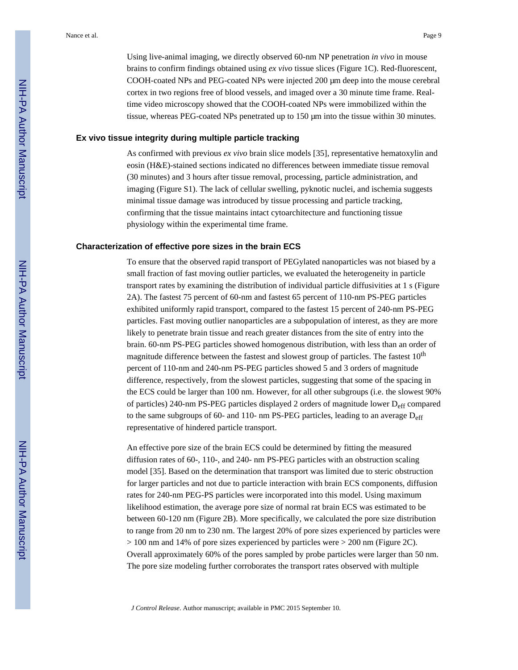Using live-animal imaging, we directly observed 60-nm NP penetration *in vivo* in mouse brains to confirm findings obtained using *ex vivo* tissue slices (Figure 1C). Red-fluorescent, COOH-coated NPs and PEG-coated NPs were injected 200 μm deep into the mouse cerebral cortex in two regions free of blood vessels, and imaged over a 30 minute time frame. Realtime video microscopy showed that the COOH-coated NPs were immobilized within the tissue, whereas PEG-coated NPs penetrated up to 150 μm into the tissue within 30 minutes.

#### **Ex vivo tissue integrity during multiple particle tracking**

As confirmed with previous *ex vivo* brain slice models [35], representative hematoxylin and eosin (H&E)-stained sections indicated no differences between immediate tissue removal (30 minutes) and 3 hours after tissue removal, processing, particle administration, and imaging (Figure S1). The lack of cellular swelling, pyknotic nuclei, and ischemia suggests minimal tissue damage was introduced by tissue processing and particle tracking, confirming that the tissue maintains intact cytoarchitecture and functioning tissue physiology within the experimental time frame.

## **Characterization of effective pore sizes in the brain ECS**

To ensure that the observed rapid transport of PEGylated nanoparticles was not biased by a small fraction of fast moving outlier particles, we evaluated the heterogeneity in particle transport rates by examining the distribution of individual particle diffusivities at 1 s (Figure 2A). The fastest 75 percent of 60-nm and fastest 65 percent of 110-nm PS-PEG particles exhibited uniformly rapid transport, compared to the fastest 15 percent of 240-nm PS-PEG particles. Fast moving outlier nanoparticles are a subpopulation of interest, as they are more likely to penetrate brain tissue and reach greater distances from the site of entry into the brain. 60-nm PS-PEG particles showed homogenous distribution, with less than an order of magnitude difference between the fastest and slowest group of particles. The fastest 10<sup>th</sup> percent of 110-nm and 240-nm PS-PEG particles showed 5 and 3 orders of magnitude difference, respectively, from the slowest particles, suggesting that some of the spacing in the ECS could be larger than 100 nm. However, for all other subgroups (i.e. the slowest 90% of particles) 240-nm PS-PEG particles displayed 2 orders of magnitude lower Deff compared to the same subgroups of 60- and 110- nm PS-PEG particles, leading to an average  $D_{\text{eff}}$ representative of hindered particle transport.

An effective pore size of the brain ECS could be determined by fitting the measured diffusion rates of 60-, 110-, and 240- nm PS-PEG particles with an obstruction scaling model [35]. Based on the determination that transport was limited due to steric obstruction for larger particles and not due to particle interaction with brain ECS components, diffusion rates for 240-nm PEG-PS particles were incorporated into this model. Using maximum likelihood estimation, the average pore size of normal rat brain ECS was estimated to be between 60-120 nm (Figure 2B). More specifically, we calculated the pore size distribution to range from 20 nm to 230 nm. The largest 20% of pore sizes experienced by particles were  $> 100$  nm and 14% of pore sizes experienced by particles were  $> 200$  nm (Figure 2C). Overall approximately 60% of the pores sampled by probe particles were larger than 50 nm. The pore size modeling further corroborates the transport rates observed with multiple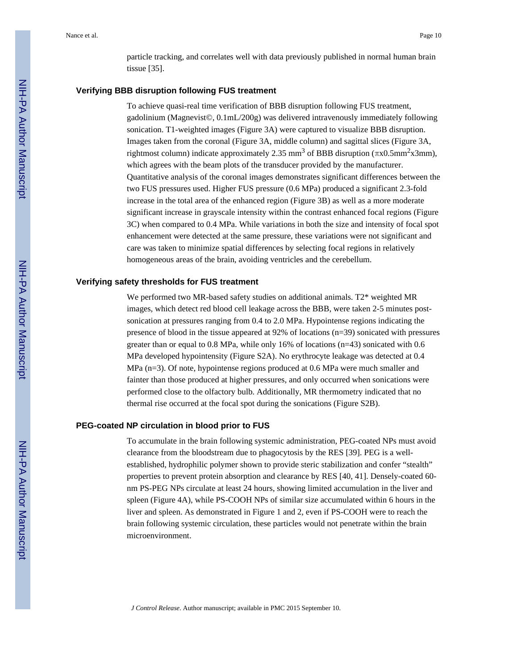particle tracking, and correlates well with data previously published in normal human brain tissue [35].

## **Verifying BBB disruption following FUS treatment**

To achieve quasi-real time verification of BBB disruption following FUS treatment, gadolinium (Magnevist©, 0.1mL/200g) was delivered intravenously immediately following sonication. T1-weighted images (Figure 3A) were captured to visualize BBB disruption. Images taken from the coronal (Figure 3A, middle column) and sagittal slices (Figure 3A, rightmost column) indicate approximately 2.35 mm<sup>3</sup> of BBB disruption (πx0.5mm<sup>2</sup>x3mm), which agrees with the beam plots of the transducer provided by the manufacturer. Quantitative analysis of the coronal images demonstrates significant differences between the two FUS pressures used. Higher FUS pressure (0.6 MPa) produced a significant 2.3-fold increase in the total area of the enhanced region (Figure 3B) as well as a more moderate significant increase in grayscale intensity within the contrast enhanced focal regions (Figure 3C) when compared to 0.4 MPa. While variations in both the size and intensity of focal spot enhancement were detected at the same pressure, these variations were not significant and care was taken to minimize spatial differences by selecting focal regions in relatively homogeneous areas of the brain, avoiding ventricles and the cerebellum.

## **Verifying safety thresholds for FUS treatment**

We performed two MR-based safety studies on additional animals. T2\* weighted MR images, which detect red blood cell leakage across the BBB, were taken 2-5 minutes postsonication at pressures ranging from 0.4 to 2.0 MPa. Hypointense regions indicating the presence of blood in the tissue appeared at 92% of locations (n=39) sonicated with pressures greater than or equal to 0.8 MPa, while only 16% of locations (n=43) sonicated with 0.6 MPa developed hypointensity (Figure S2A). No erythrocyte leakage was detected at 0.4 MPa (n=3). Of note, hypointense regions produced at 0.6 MPa were much smaller and fainter than those produced at higher pressures, and only occurred when sonications were performed close to the olfactory bulb. Additionally, MR thermometry indicated that no thermal rise occurred at the focal spot during the sonications (Figure S2B).

#### **PEG-coated NP circulation in blood prior to FUS**

To accumulate in the brain following systemic administration, PEG-coated NPs must avoid clearance from the bloodstream due to phagocytosis by the RES [39]. PEG is a wellestablished, hydrophilic polymer shown to provide steric stabilization and confer "stealth" properties to prevent protein absorption and clearance by RES [40, 41]. Densely-coated 60 nm PS-PEG NPs circulate at least 24 hours, showing limited accumulation in the liver and spleen (Figure 4A), while PS-COOH NPs of similar size accumulated within 6 hours in the liver and spleen. As demonstrated in Figure 1 and 2, even if PS-COOH were to reach the brain following systemic circulation, these particles would not penetrate within the brain microenvironment.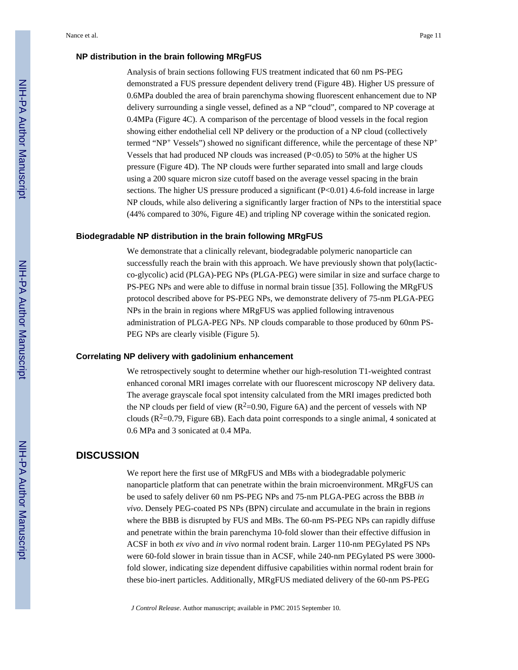## **NP distribution in the brain following MRgFUS**

Analysis of brain sections following FUS treatment indicated that 60 nm PS-PEG demonstrated a FUS pressure dependent delivery trend (Figure 4B). Higher US pressure of 0.6MPa doubled the area of brain parenchyma showing fluorescent enhancement due to NP delivery surrounding a single vessel, defined as a NP "cloud", compared to NP coverage at 0.4MPa (Figure 4C). A comparison of the percentage of blood vessels in the focal region showing either endothelial cell NP delivery or the production of a NP cloud (collectively termed "NP<sup>+</sup> Vessels") showed no significant difference, while the percentage of these  $NP<sup>+</sup>$ Vessels that had produced NP clouds was increased (P<0.05) to 50% at the higher US pressure (Figure 4D). The NP clouds were further separated into small and large clouds using a 200 square micron size cutoff based on the average vessel spacing in the brain sections. The higher US pressure produced a significant  $(P<0.01)$  4.6-fold increase in large NP clouds, while also delivering a significantly larger fraction of NPs to the interstitial space (44% compared to 30%, Figure 4E) and tripling NP coverage within the sonicated region.

## **Biodegradable NP distribution in the brain following MRgFUS**

We demonstrate that a clinically relevant, biodegradable polymeric nanoparticle can successfully reach the brain with this approach. We have previously shown that poly(lacticco-glycolic) acid (PLGA)-PEG NPs (PLGA-PEG) were similar in size and surface charge to PS-PEG NPs and were able to diffuse in normal brain tissue [35]. Following the MRgFUS protocol described above for PS-PEG NPs, we demonstrate delivery of 75-nm PLGA-PEG NPs in the brain in regions where MRgFUS was applied following intravenous administration of PLGA-PEG NPs. NP clouds comparable to those produced by 60nm PS-PEG NPs are clearly visible (Figure 5).

## **Correlating NP delivery with gadolinium enhancement**

We retrospectively sought to determine whether our high-resolution T1-weighted contrast enhanced coronal MRI images correlate with our fluorescent microscopy NP delivery data. The average grayscale focal spot intensity calculated from the MRI images predicted both the NP clouds per field of view  $(R^2=0.90,$  Figure 6A) and the percent of vessels with NP clouds ( $\mathbb{R}^2$ =0.79, Figure 6B). Each data point corresponds to a single animal, 4 sonicated at 0.6 MPa and 3 sonicated at 0.4 MPa.

## **DISCUSSION**

We report here the first use of MRgFUS and MBs with a biodegradable polymeric nanoparticle platform that can penetrate within the brain microenvironment. MRgFUS can be used to safely deliver 60 nm PS-PEG NPs and 75-nm PLGA-PEG across the BBB *in vivo*. Densely PEG-coated PS NPs (BPN) circulate and accumulate in the brain in regions where the BBB is disrupted by FUS and MBs. The 60-nm PS-PEG NPs can rapidly diffuse and penetrate within the brain parenchyma 10-fold slower than their effective diffusion in ACSF in both *ex vivo* and *in vivo* normal rodent brain. Larger 110-nm PEGylated PS NPs were 60-fold slower in brain tissue than in ACSF, while 240-nm PEGylated PS were 3000 fold slower, indicating size dependent diffusive capabilities within normal rodent brain for these bio-inert particles. Additionally, MRgFUS mediated delivery of the 60-nm PS-PEG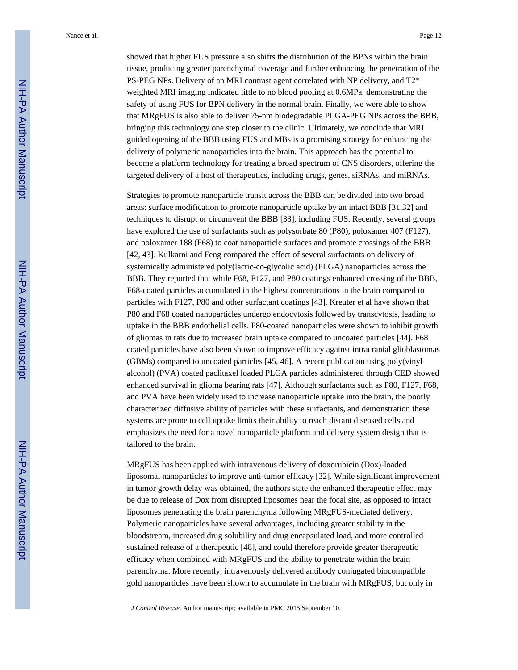showed that higher FUS pressure also shifts the distribution of the BPNs within the brain tissue, producing greater parenchymal coverage and further enhancing the penetration of the PS-PEG NPs. Delivery of an MRI contrast agent correlated with NP delivery, and T2\* weighted MRI imaging indicated little to no blood pooling at 0.6MPa, demonstrating the safety of using FUS for BPN delivery in the normal brain. Finally, we were able to show that MRgFUS is also able to deliver 75-nm biodegradable PLGA-PEG NPs across the BBB, bringing this technology one step closer to the clinic. Ultimately, we conclude that MRI guided opening of the BBB using FUS and MBs is a promising strategy for enhancing the delivery of polymeric nanoparticles into the brain. This approach has the potential to become a platform technology for treating a broad spectrum of CNS disorders, offering the targeted delivery of a host of therapeutics, including drugs, genes, siRNAs, and miRNAs.

Strategies to promote nanoparticle transit across the BBB can be divided into two broad areas: surface modification to promote nanoparticle uptake by an intact BBB [31,32] and techniques to disrupt or circumvent the BBB [33], including FUS. Recently, several groups have explored the use of surfactants such as polysorbate 80 (P80), poloxamer 407 (F127), and poloxamer 188 (F68) to coat nanoparticle surfaces and promote crossings of the BBB [42, 43]. Kulkarni and Feng compared the effect of several surfactants on delivery of systemically administered poly(lactic-co-glycolic acid) (PLGA) nanoparticles across the BBB. They reported that while F68, F127, and P80 coatings enhanced crossing of the BBB, F68-coated particles accumulated in the highest concentrations in the brain compared to particles with F127, P80 and other surfactant coatings [43]. Kreuter et al have shown that P80 and F68 coated nanoparticles undergo endocytosis followed by transcytosis, leading to uptake in the BBB endothelial cells. P80-coated nanoparticles were shown to inhibit growth of gliomas in rats due to increased brain uptake compared to uncoated particles [44]. F68 coated particles have also been shown to improve efficacy against intracranial glioblastomas (GBMs) compared to uncoated particles [45, 46]. A recent publication using poly(vinyl alcohol) (PVA) coated paclitaxel loaded PLGA particles administered through CED showed enhanced survival in glioma bearing rats [47]. Although surfactants such as P80, F127, F68, and PVA have been widely used to increase nanoparticle uptake into the brain, the poorly characterized diffusive ability of particles with these surfactants, and demonstration these systems are prone to cell uptake limits their ability to reach distant diseased cells and emphasizes the need for a novel nanoparticle platform and delivery system design that is tailored to the brain.

MRgFUS has been applied with intravenous delivery of doxorubicin (Dox)-loaded liposomal nanoparticles to improve anti-tumor efficacy [32]. While significant improvement in tumor growth delay was obtained, the authors state the enhanced therapeutic effect may be due to release of Dox from disrupted liposomes near the focal site, as opposed to intact liposomes penetrating the brain parenchyma following MRgFUS-mediated delivery. Polymeric nanoparticles have several advantages, including greater stability in the bloodstream, increased drug solubility and drug encapsulated load, and more controlled sustained release of a therapeutic [48], and could therefore provide greater therapeutic efficacy when combined with MRgFUS and the ability to penetrate within the brain parenchyma. More recently, intravenously delivered antibody conjugated biocompatible gold nanoparticles have been shown to accumulate in the brain with MRgFUS, but only in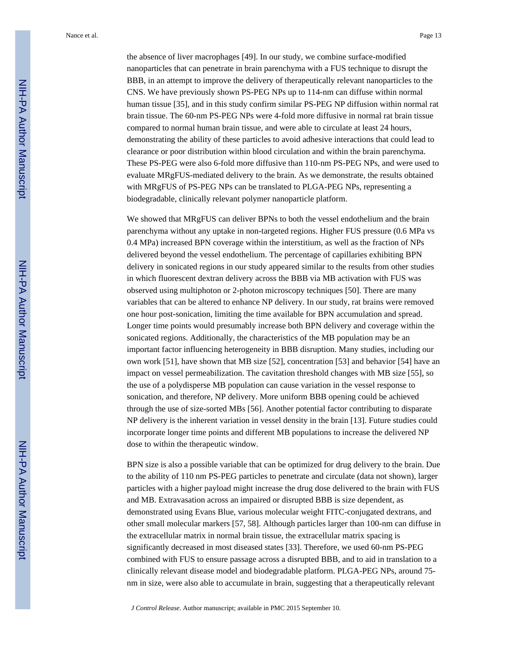the absence of liver macrophages [49]. In our study, we combine surface-modified nanoparticles that can penetrate in brain parenchyma with a FUS technique to disrupt the BBB, in an attempt to improve the delivery of therapeutically relevant nanoparticles to the CNS. We have previously shown PS-PEG NPs up to 114-nm can diffuse within normal human tissue [35], and in this study confirm similar PS-PEG NP diffusion within normal rat brain tissue. The 60-nm PS-PEG NPs were 4-fold more diffusive in normal rat brain tissue compared to normal human brain tissue, and were able to circulate at least 24 hours, demonstrating the ability of these particles to avoid adhesive interactions that could lead to clearance or poor distribution within blood circulation and within the brain parenchyma. These PS-PEG were also 6-fold more diffusive than 110-nm PS-PEG NPs, and were used to evaluate MRgFUS-mediated delivery to the brain. As we demonstrate, the results obtained with MRgFUS of PS-PEG NPs can be translated to PLGA-PEG NPs, representing a biodegradable, clinically relevant polymer nanoparticle platform.

We showed that MRgFUS can deliver BPNs to both the vessel endothelium and the brain parenchyma without any uptake in non-targeted regions. Higher FUS pressure (0.6 MPa vs 0.4 MPa) increased BPN coverage within the interstitium, as well as the fraction of NPs delivered beyond the vessel endothelium. The percentage of capillaries exhibiting BPN delivery in sonicated regions in our study appeared similar to the results from other studies in which fluorescent dextran delivery across the BBB via MB activation with FUS was observed using multiphoton or 2-photon microscopy techniques [50]. There are many variables that can be altered to enhance NP delivery. In our study, rat brains were removed one hour post-sonication, limiting the time available for BPN accumulation and spread. Longer time points would presumably increase both BPN delivery and coverage within the sonicated regions. Additionally, the characteristics of the MB population may be an important factor influencing heterogeneity in BBB disruption. Many studies, including our own work [51], have shown that MB size [52], concentration [53] and behavior [54] have an impact on vessel permeabilization. The cavitation threshold changes with MB size [55], so the use of a polydisperse MB population can cause variation in the vessel response to sonication, and therefore, NP delivery. More uniform BBB opening could be achieved through the use of size-sorted MBs [56]. Another potential factor contributing to disparate NP delivery is the inherent variation in vessel density in the brain [13]. Future studies could incorporate longer time points and different MB populations to increase the delivered NP dose to within the therapeutic window.

BPN size is also a possible variable that can be optimized for drug delivery to the brain. Due to the ability of 110 nm PS-PEG particles to penetrate and circulate (data not shown), larger particles with a higher payload might increase the drug dose delivered to the brain with FUS and MB. Extravasation across an impaired or disrupted BBB is size dependent, as demonstrated using Evans Blue, various molecular weight FITC-conjugated dextrans, and other small molecular markers [57, 58]. Although particles larger than 100-nm can diffuse in the extracellular matrix in normal brain tissue, the extracellular matrix spacing is significantly decreased in most diseased states [33]. Therefore, we used 60-nm PS-PEG combined with FUS to ensure passage across a disrupted BBB, and to aid in translation to a clinically relevant disease model and biodegradable platform. PLGA-PEG NPs, around 75 nm in size, were also able to accumulate in brain, suggesting that a therapeutically relevant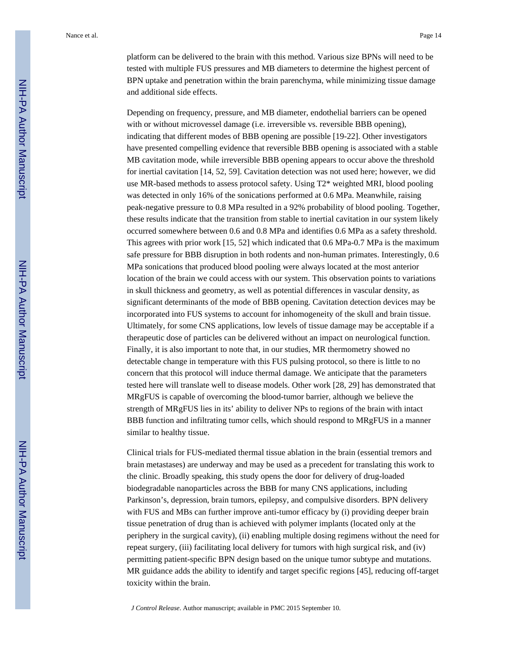platform can be delivered to the brain with this method. Various size BPNs will need to be tested with multiple FUS pressures and MB diameters to determine the highest percent of BPN uptake and penetration within the brain parenchyma, while minimizing tissue damage and additional side effects.

Depending on frequency, pressure, and MB diameter, endothelial barriers can be opened with or without microvessel damage (i.e. irreversible vs. reversible BBB opening), indicating that different modes of BBB opening are possible [19-22]. Other investigators have presented compelling evidence that reversible BBB opening is associated with a stable MB cavitation mode, while irreversible BBB opening appears to occur above the threshold for inertial cavitation [14, 52, 59]. Cavitation detection was not used here; however, we did use MR-based methods to assess protocol safety. Using T2\* weighted MRI, blood pooling was detected in only 16% of the sonications performed at 0.6 MPa. Meanwhile, raising peak-negative pressure to 0.8 MPa resulted in a 92% probability of blood pooling. Together, these results indicate that the transition from stable to inertial cavitation in our system likely occurred somewhere between 0.6 and 0.8 MPa and identifies 0.6 MPa as a safety threshold. This agrees with prior work [15, 52] which indicated that 0.6 MPa-0.7 MPa is the maximum safe pressure for BBB disruption in both rodents and non-human primates. Interestingly, 0.6 MPa sonications that produced blood pooling were always located at the most anterior location of the brain we could access with our system. This observation points to variations in skull thickness and geometry, as well as potential differences in vascular density, as significant determinants of the mode of BBB opening. Cavitation detection devices may be incorporated into FUS systems to account for inhomogeneity of the skull and brain tissue. Ultimately, for some CNS applications, low levels of tissue damage may be acceptable if a therapeutic dose of particles can be delivered without an impact on neurological function. Finally, it is also important to note that, in our studies, MR thermometry showed no detectable change in temperature with this FUS pulsing protocol, so there is little to no concern that this protocol will induce thermal damage. We anticipate that the parameters tested here will translate well to disease models. Other work [28, 29] has demonstrated that MRgFUS is capable of overcoming the blood-tumor barrier, although we believe the strength of MRgFUS lies in its' ability to deliver NPs to regions of the brain with intact BBB function and infiltrating tumor cells, which should respond to MRgFUS in a manner similar to healthy tissue.

Clinical trials for FUS-mediated thermal tissue ablation in the brain (essential tremors and brain metastases) are underway and may be used as a precedent for translating this work to the clinic. Broadly speaking, this study opens the door for delivery of drug-loaded biodegradable nanoparticles across the BBB for many CNS applications, including Parkinson's, depression, brain tumors, epilepsy, and compulsive disorders. BPN delivery with FUS and MBs can further improve anti-tumor efficacy by (i) providing deeper brain tissue penetration of drug than is achieved with polymer implants (located only at the periphery in the surgical cavity), (ii) enabling multiple dosing regimens without the need for repeat surgery, (iii) facilitating local delivery for tumors with high surgical risk, and (iv) permitting patient-specific BPN design based on the unique tumor subtype and mutations. MR guidance adds the ability to identify and target specific regions [45], reducing off-target toxicity within the brain.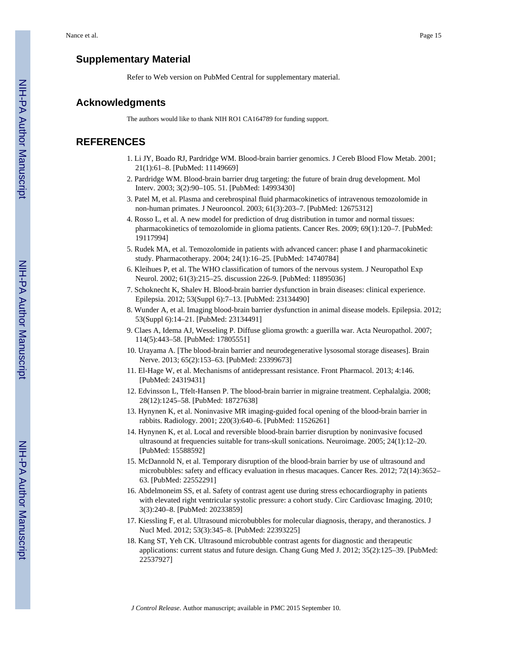## **Supplementary Material**

Refer to Web version on PubMed Central for supplementary material.

## **Acknowledgments**

The authors would like to thank NIH RO1 CA164789 for funding support.

## **REFERENCES**

- 1. Li JY, Boado RJ, Pardridge WM. Blood-brain barrier genomics. J Cereb Blood Flow Metab. 2001; 21(1):61–8. [PubMed: 11149669]
- 2. Pardridge WM. Blood-brain barrier drug targeting: the future of brain drug development. Mol Interv. 2003; 3(2):90–105. 51. [PubMed: 14993430]
- 3. Patel M, et al. Plasma and cerebrospinal fluid pharmacokinetics of intravenous temozolomide in non-human primates. J Neurooncol. 2003; 61(3):203–7. [PubMed: 12675312]
- 4. Rosso L, et al. A new model for prediction of drug distribution in tumor and normal tissues: pharmacokinetics of temozolomide in glioma patients. Cancer Res. 2009; 69(1):120–7. [PubMed: 19117994]
- 5. Rudek MA, et al. Temozolomide in patients with advanced cancer: phase I and pharmacokinetic study. Pharmacotherapy. 2004; 24(1):16–25. [PubMed: 14740784]
- 6. Kleihues P, et al. The WHO classification of tumors of the nervous system. J Neuropathol Exp Neurol. 2002; 61(3):215–25. discussion 226-9. [PubMed: 11895036]
- 7. Schoknecht K, Shalev H. Blood-brain barrier dysfunction in brain diseases: clinical experience. Epilepsia. 2012; 53(Suppl 6):7–13. [PubMed: 23134490]
- 8. Wunder A, et al. Imaging blood-brain barrier dysfunction in animal disease models. Epilepsia. 2012; 53(Suppl 6):14–21. [PubMed: 23134491]
- 9. Claes A, Idema AJ, Wesseling P. Diffuse glioma growth: a guerilla war. Acta Neuropathol. 2007; 114(5):443–58. [PubMed: 17805551]
- 10. Urayama A. [The blood-brain barrier and neurodegenerative lysosomal storage diseases]. Brain Nerve. 2013; 65(2):153–63. [PubMed: 23399673]
- 11. El-Hage W, et al. Mechanisms of antidepressant resistance. Front Pharmacol. 2013; 4:146. [PubMed: 24319431]
- 12. Edvinsson L, Tfelt-Hansen P. The blood-brain barrier in migraine treatment. Cephalalgia. 2008; 28(12):1245–58. [PubMed: 18727638]
- 13. Hynynen K, et al. Noninvasive MR imaging-guided focal opening of the blood-brain barrier in rabbits. Radiology. 2001; 220(3):640–6. [PubMed: 11526261]
- 14. Hynynen K, et al. Local and reversible blood-brain barrier disruption by noninvasive focused ultrasound at frequencies suitable for trans-skull sonications. Neuroimage. 2005; 24(1):12–20. [PubMed: 15588592]
- 15. McDannold N, et al. Temporary disruption of the blood-brain barrier by use of ultrasound and microbubbles: safety and efficacy evaluation in rhesus macaques. Cancer Res. 2012; 72(14):3652– 63. [PubMed: 22552291]
- 16. Abdelmoneim SS, et al. Safety of contrast agent use during stress echocardiography in patients with elevated right ventricular systolic pressure: a cohort study. Circ Cardiovasc Imaging. 2010; 3(3):240–8. [PubMed: 20233859]
- 17. Kiessling F, et al. Ultrasound microbubbles for molecular diagnosis, therapy, and theranostics. J Nucl Med. 2012; 53(3):345–8. [PubMed: 22393225]
- 18. Kang ST, Yeh CK. Ultrasound microbubble contrast agents for diagnostic and therapeutic applications: current status and future design. Chang Gung Med J. 2012; 35(2):125–39. [PubMed: 22537927]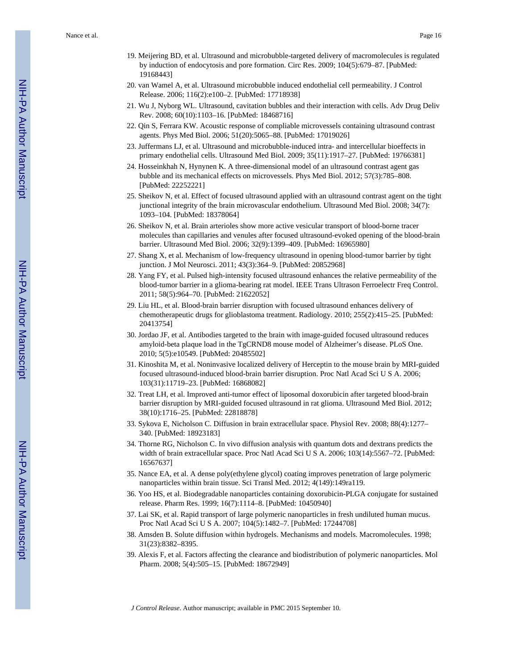- 19. Meijering BD, et al. Ultrasound and microbubble-targeted delivery of macromolecules is regulated by induction of endocytosis and pore formation. Circ Res. 2009; 104(5):679–87. [PubMed: 19168443]
- 20. van Wamel A, et al. Ultrasound microbubble induced endothelial cell permeability. J Control Release. 2006; 116(2):e100–2. [PubMed: 17718938]
- 21. Wu J, Nyborg WL. Ultrasound, cavitation bubbles and their interaction with cells. Adv Drug Deliv Rev. 2008; 60(10):1103–16. [PubMed: 18468716]
- 22. Qin S, Ferrara KW. Acoustic response of compliable microvessels containing ultrasound contrast agents. Phys Med Biol. 2006; 51(20):5065–88. [PubMed: 17019026]
- 23. Juffermans LJ, et al. Ultrasound and microbubble-induced intra- and intercellular bioeffects in primary endothelial cells. Ultrasound Med Biol. 2009; 35(11):1917–27. [PubMed: 19766381]
- 24. Hosseinkhah N, Hynynen K. A three-dimensional model of an ultrasound contrast agent gas bubble and its mechanical effects on microvessels. Phys Med Biol. 2012; 57(3):785–808. [PubMed: 22252221]
- 25. Sheikov N, et al. Effect of focused ultrasound applied with an ultrasound contrast agent on the tight junctional integrity of the brain microvascular endothelium. Ultrasound Med Biol. 2008; 34(7): 1093–104. [PubMed: 18378064]
- 26. Sheikov N, et al. Brain arterioles show more active vesicular transport of blood-borne tracer molecules than capillaries and venules after focused ultrasound-evoked opening of the blood-brain barrier. Ultrasound Med Biol. 2006; 32(9):1399–409. [PubMed: 16965980]
- 27. Shang X, et al. Mechanism of low-frequency ultrasound in opening blood-tumor barrier by tight junction. J Mol Neurosci. 2011; 43(3):364–9. [PubMed: 20852968]
- 28. Yang FY, et al. Pulsed high-intensity focused ultrasound enhances the relative permeability of the blood-tumor barrier in a glioma-bearing rat model. IEEE Trans Ultrason Ferroelectr Freq Control. 2011; 58(5):964–70. [PubMed: 21622052]
- 29. Liu HL, et al. Blood-brain barrier disruption with focused ultrasound enhances delivery of chemotherapeutic drugs for glioblastoma treatment. Radiology. 2010; 255(2):415–25. [PubMed: 20413754]
- 30. Jordao JF, et al. Antibodies targeted to the brain with image-guided focused ultrasound reduces amyloid-beta plaque load in the TgCRND8 mouse model of Alzheimer's disease. PLoS One. 2010; 5(5):e10549. [PubMed: 20485502]
- 31. Kinoshita M, et al. Noninvasive localized delivery of Herceptin to the mouse brain by MRI-guided focused ultrasound-induced blood-brain barrier disruption. Proc Natl Acad Sci U S A. 2006; 103(31):11719–23. [PubMed: 16868082]
- 32. Treat LH, et al. Improved anti-tumor effect of liposomal doxorubicin after targeted blood-brain barrier disruption by MRI-guided focused ultrasound in rat glioma. Ultrasound Med Biol. 2012; 38(10):1716–25. [PubMed: 22818878]
- 33. Sykova E, Nicholson C. Diffusion in brain extracellular space. Physiol Rev. 2008; 88(4):1277– 340. [PubMed: 18923183]
- 34. Thorne RG, Nicholson C. In vivo diffusion analysis with quantum dots and dextrans predicts the width of brain extracellular space. Proc Natl Acad Sci U S A. 2006; 103(14):5567–72. [PubMed: 16567637]
- 35. Nance EA, et al. A dense poly(ethylene glycol) coating improves penetration of large polymeric nanoparticles within brain tissue. Sci Transl Med. 2012; 4(149):149ra119.
- 36. Yoo HS, et al. Biodegradable nanoparticles containing doxorubicin-PLGA conjugate for sustained release. Pharm Res. 1999; 16(7):1114–8. [PubMed: 10450940]
- 37. Lai SK, et al. Rapid transport of large polymeric nanoparticles in fresh undiluted human mucus. Proc Natl Acad Sci U S A. 2007; 104(5):1482–7. [PubMed: 17244708]
- 38. Amsden B. Solute diffusion within hydrogels. Mechanisms and models. Macromolecules. 1998; 31(23):8382–8395.
- 39. Alexis F, et al. Factors affecting the clearance and biodistribution of polymeric nanoparticles. Mol Pharm. 2008; 5(4):505–15. [PubMed: 18672949]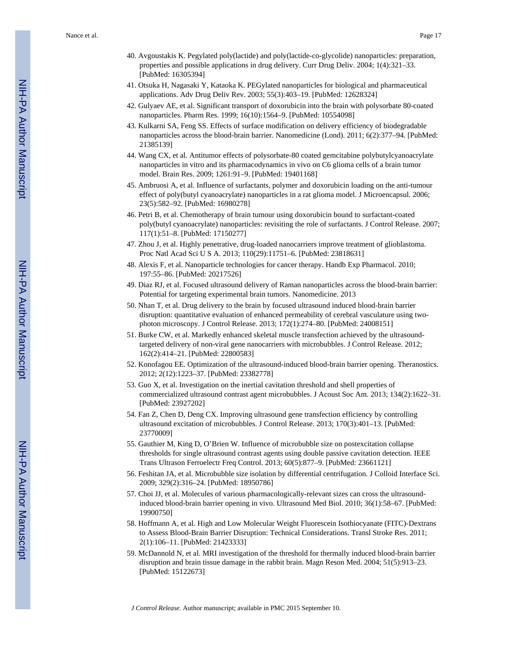- 40. Avgoustakis K. Pegylated poly(lactide) and poly(lactide-co-glycolide) nanoparticles: preparation, properties and possible applications in drug delivery. Curr Drug Deliv. 2004; 1(4):321–33. [PubMed: 16305394]
- 41. Otsuka H, Nagasaki Y, Kataoka K. PEGylated nanoparticles for biological and pharmaceutical applications. Adv Drug Deliv Rev. 2003; 55(3):403–19. [PubMed: 12628324]
- 42. Gulyaev AE, et al. Significant transport of doxorubicin into the brain with polysorbate 80-coated nanoparticles. Pharm Res. 1999; 16(10):1564–9. [PubMed: 10554098]
- 43. Kulkarni SA, Feng SS. Effects of surface modification on delivery efficiency of biodegradable nanoparticles across the blood-brain barrier. Nanomedicine (Lond). 2011; 6(2):377–94. [PubMed: 21385139]
- 44. Wang CX, et al. Antitumor effects of polysorbate-80 coated gemcitabine polybutylcyanoacrylate nanoparticles in vitro and its pharmacodynamics in vivo on C6 glioma cells of a brain tumor model. Brain Res. 2009; 1261:91–9. [PubMed: 19401168]
- 45. Ambruosi A, et al. Influence of surfactants, polymer and doxorubicin loading on the anti-tumour effect of poly(butyl cyanoacrylate) nanoparticles in a rat glioma model. J Microencapsul. 2006; 23(5):582–92. [PubMed: 16980278]
- 46. Petri B, et al. Chemotherapy of brain tumour using doxorubicin bound to surfactant-coated poly(butyl cyanoacrylate) nanoparticles: revisiting the role of surfactants. J Control Release. 2007; 117(1):51–8. [PubMed: 17150277]
- 47. Zhou J, et al. Highly penetrative, drug-loaded nanocarriers improve treatment of glioblastoma. Proc Natl Acad Sci U S A. 2013; 110(29):11751–6. [PubMed: 23818631]
- 48. Alexis F, et al. Nanoparticle technologies for cancer therapy. Handb Exp Pharmacol. 2010; 197:55–86. [PubMed: 20217526]
- 49. Diaz RJ, et al. Focused ultrasound delivery of Raman nanoparticles across the blood-brain barrier: Potential for targeting experimental brain tumors. Nanomedicine. 2013
- 50. Nhan T, et al. Drug delivery to the brain by focused ultrasound induced blood-brain barrier disruption: quantitative evaluation of enhanced permeability of cerebral vasculature using twophoton microscopy. J Control Release. 2013; 172(1):274–80. [PubMed: 24008151]
- 51. Burke CW, et al. Markedly enhanced skeletal muscle transfection achieved by the ultrasoundtargeted delivery of non-viral gene nanocarriers with microbubbles. J Control Release. 2012; 162(2):414–21. [PubMed: 22800583]
- 52. Konofagou EE. Optimization of the ultrasound-induced blood-brain barrier opening. Theranostics. 2012; 2(12):1223–37. [PubMed: 23382778]
- 53. Guo X, et al. Investigation on the inertial cavitation threshold and shell properties of commercialized ultrasound contrast agent microbubbles. J Acoust Soc Am. 2013; 134(2):1622–31. [PubMed: 23927202]
- 54. Fan Z, Chen D, Deng CX. Improving ultrasound gene transfection efficiency by controlling ultrasound excitation of microbubbles. J Control Release. 2013; 170(3):401–13. [PubMed: 23770009]
- 55. Gauthier M, King D, O'Brien W. Influence of microbubble size on postexcitation collapse thresholds for single ultrasound contrast agents using double passive cavitation detection. IEEE Trans Ultrason Ferroelectr Freq Control. 2013; 60(5):877–9. [PubMed: 23661121]
- 56. Feshitan JA, et al. Microbubble size isolation by differential centrifugation. J Colloid Interface Sci. 2009; 329(2):316–24. [PubMed: 18950786]
- 57. Choi JJ, et al. Molecules of various pharmacologically-relevant sizes can cross the ultrasoundinduced blood-brain barrier opening in vivo. Ultrasound Med Biol. 2010; 36(1):58–67. [PubMed: 19900750]
- 58. Hoffmann A, et al. High and Low Molecular Weight Fluorescein Isothiocyanate (FITC)-Dextrans to Assess Blood-Brain Barrier Disruption: Technical Considerations. Transl Stroke Res. 2011; 2(1):106–11. [PubMed: 21423333]
- 59. McDannold N, et al. MRI investigation of the threshold for thermally induced blood-brain barrier disruption and brain tissue damage in the rabbit brain. Magn Reson Med. 2004; 51(5):913–23. [PubMed: 15122673]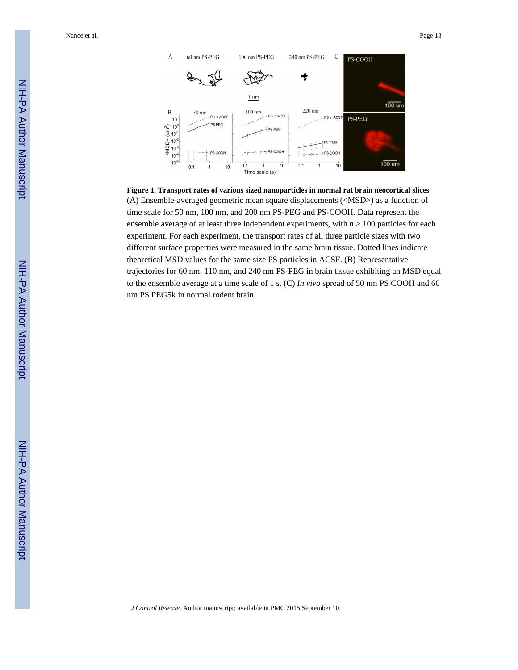

**Figure 1. Transport rates of various sized nanoparticles in normal rat brain neocortical slices** (A) Ensemble-averaged geometric mean square displacements (<MSD>) as a function of time scale for 50 nm, 100 nm, and 200 nm PS-PEG and PS-COOH. Data represent the ensemble average of at least three independent experiments, with n = 100 particles for each experiment. For each experiment, the transport rates of all three particle sizes with two different surface properties were measured in the same brain tissue. Dotted lines indicate theoretical MSD values for the same size PS particles in ACSF. (B) Representative trajectories for 60 nm, 110 nm, and 240 nm PS-PEG in brain tissue exhibiting an MSD equal to the ensemble average at a time scale of 1 s. (C) *In vivo* spread of 50 nm PS COOH and 60 nm PS PEG5k in normal rodent brain.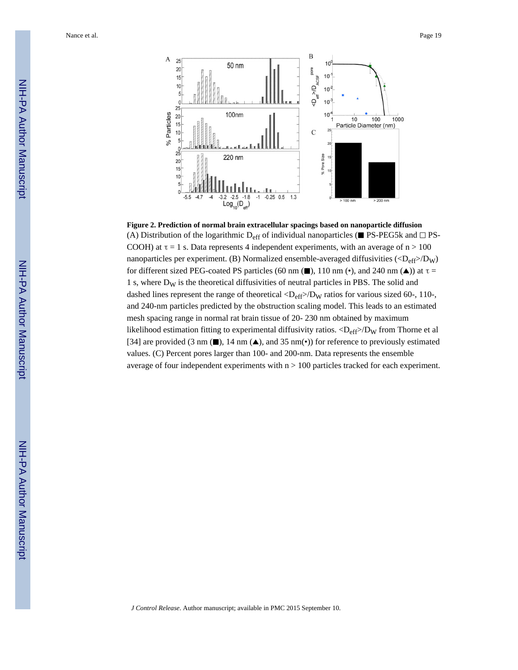

**Figure 2. Prediction of normal brain extracellular spacings based on nanoparticle diffusion** (A) Distribution of the logarithmic  $D_{eff}$  of individual nanoparticles ( $\blacksquare$  PS-PEG5k and  $\Box$  PS-COOH) at  $\tau = 1$  s. Data represents 4 independent experiments, with an average of  $n > 100$ nanoparticles per experiment. (B) Normalized ensemble-averaged diffusivities  $\langle )$ for different sized PEG-coated PS particles (60 nm (■), 110 nm (•), and 240 nm (▲)) at  $\tau$  = 1 s, where  $D_W$  is the theoretical diffusivities of neutral particles in PBS. The solid and dashed lines represent the range of theoretical  $<\!D_{\text{eff}}\!\!\gg\!\!D_W$  ratios for various sized 60-, 110-, and 240-nm particles predicted by the obstruction scaling model. This leads to an estimated mesh spacing range in normal rat brain tissue of 20- 230 nm obtained by maximum likelihood estimation fitting to experimental diffusivity ratios.  $\langle D_{\text{eff}} \rangle / D_W$  from Thorne et al [34] are provided (3 nm (■), 14 nm (▲), and 35 nm(•)) for reference to previously estimated values. (C) Percent pores larger than 100- and 200-nm. Data represents the ensemble average of four independent experiments with  $n > 100$  particles tracked for each experiment.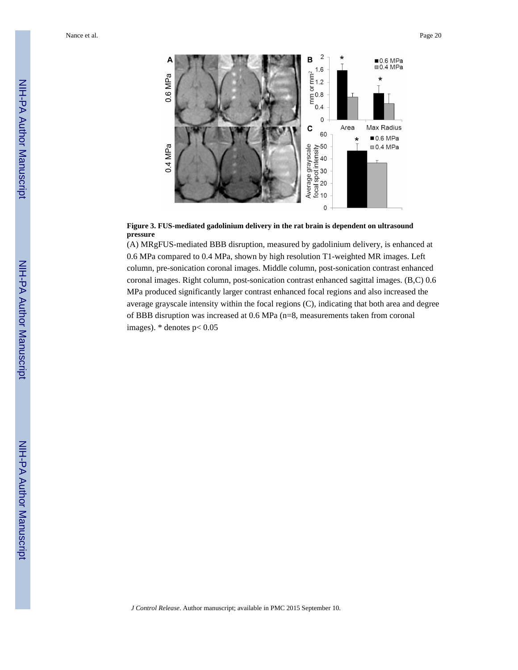



(A) MRgFUS-mediated BBB disruption, measured by gadolinium delivery, is enhanced at 0.6 MPa compared to 0.4 MPa, shown by high resolution T1-weighted MR images. Left column, pre-sonication coronal images. Middle column, post-sonication contrast enhanced coronal images. Right column, post-sonication contrast enhanced sagittal images. (B,C) 0.6 MPa produced significantly larger contrast enhanced focal regions and also increased the average grayscale intensity within the focal regions (C), indicating that both area and degree of BBB disruption was increased at 0.6 MPa (n=8, measurements taken from coronal images). \* denotes p< 0.05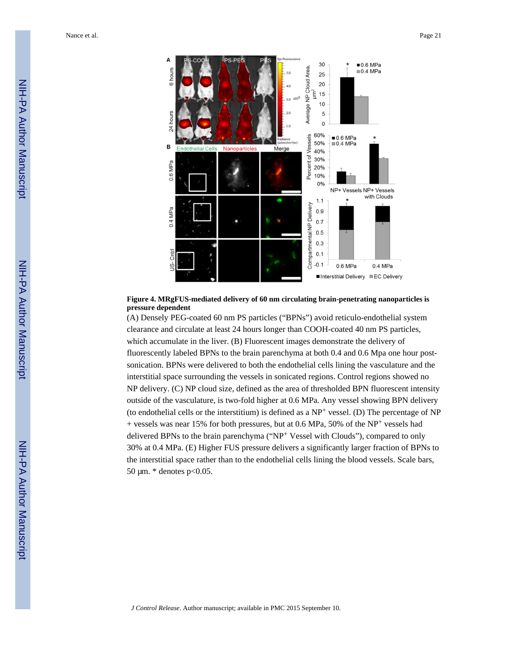

**Figure 4. MRgFUS-mediated delivery of 60 nm circulating brain-penetrating nanoparticles is pressure dependent**

(A) Densely PEG-coated 60 nm PS particles ("BPNs") avoid reticulo-endothelial system clearance and circulate at least 24 hours longer than COOH-coated 40 nm PS particles, which accumulate in the liver. (B) Fluorescent images demonstrate the delivery of fluorescently labeled BPNs to the brain parenchyma at both 0.4 and 0.6 Mpa one hour postsonication. BPNs were delivered to both the endothelial cells lining the vasculature and the interstitial space surrounding the vessels in sonicated regions. Control regions showed no NP delivery. (C) NP cloud size, defined as the area of thresholded BPN fluorescent intensity outside of the vasculature, is two-fold higher at 0.6 MPa. Any vessel showing BPN delivery (to endothelial cells or the interstitium) is defined as a  $NP<sup>+</sup>$  vessel. (D) The percentage of NP + vessels was near 15% for both pressures, but at 0.6 MPa, 50% of the NP<sup>+</sup> vessels had delivered BPNs to the brain parenchyma ("NP+ Vessel with Clouds"), compared to only 30% at 0.4 MPa. (E) Higher FUS pressure delivers a significantly larger fraction of BPNs to the interstitial space rather than to the endothelial cells lining the blood vessels. Scale bars, 50 μm. \* denotes p<0.05.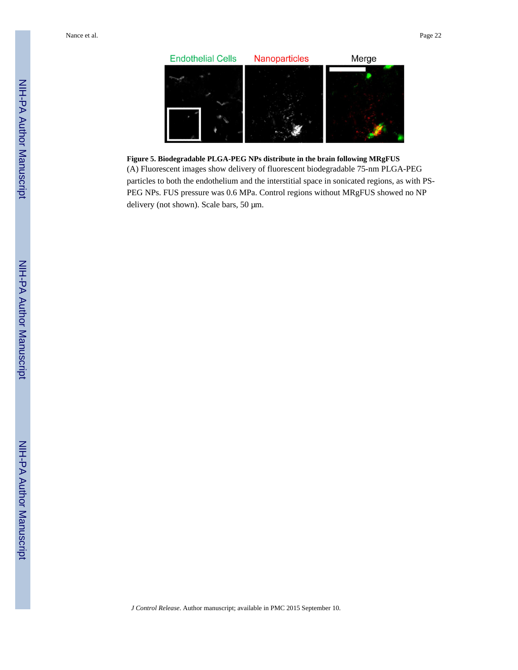

## **Figure 5. Biodegradable PLGA-PEG NPs distribute in the brain following MRgFUS**

(A) Fluorescent images show delivery of fluorescent biodegradable 75-nm PLGA-PEG particles to both the endothelium and the interstitial space in sonicated regions, as with PS-PEG NPs. FUS pressure was 0.6 MPa. Control regions without MRgFUS showed no NP delivery (not shown). Scale bars, 50 μm.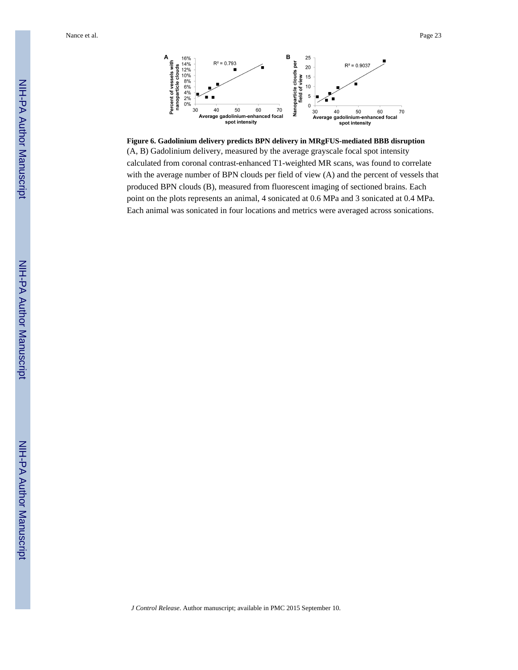

## **Figure 6. Gadolinium delivery predicts BPN delivery in MRgFUS-mediated BBB disruption**

(A, B) Gadolinium delivery, measured by the average grayscale focal spot intensity calculated from coronal contrast-enhanced T1-weighted MR scans, was found to correlate with the average number of BPN clouds per field of view (A) and the percent of vessels that produced BPN clouds (B), measured from fluorescent imaging of sectioned brains. Each point on the plots represents an animal, 4 sonicated at 0.6 MPa and 3 sonicated at 0.4 MPa. Each animal was sonicated in four locations and metrics were averaged across sonications.